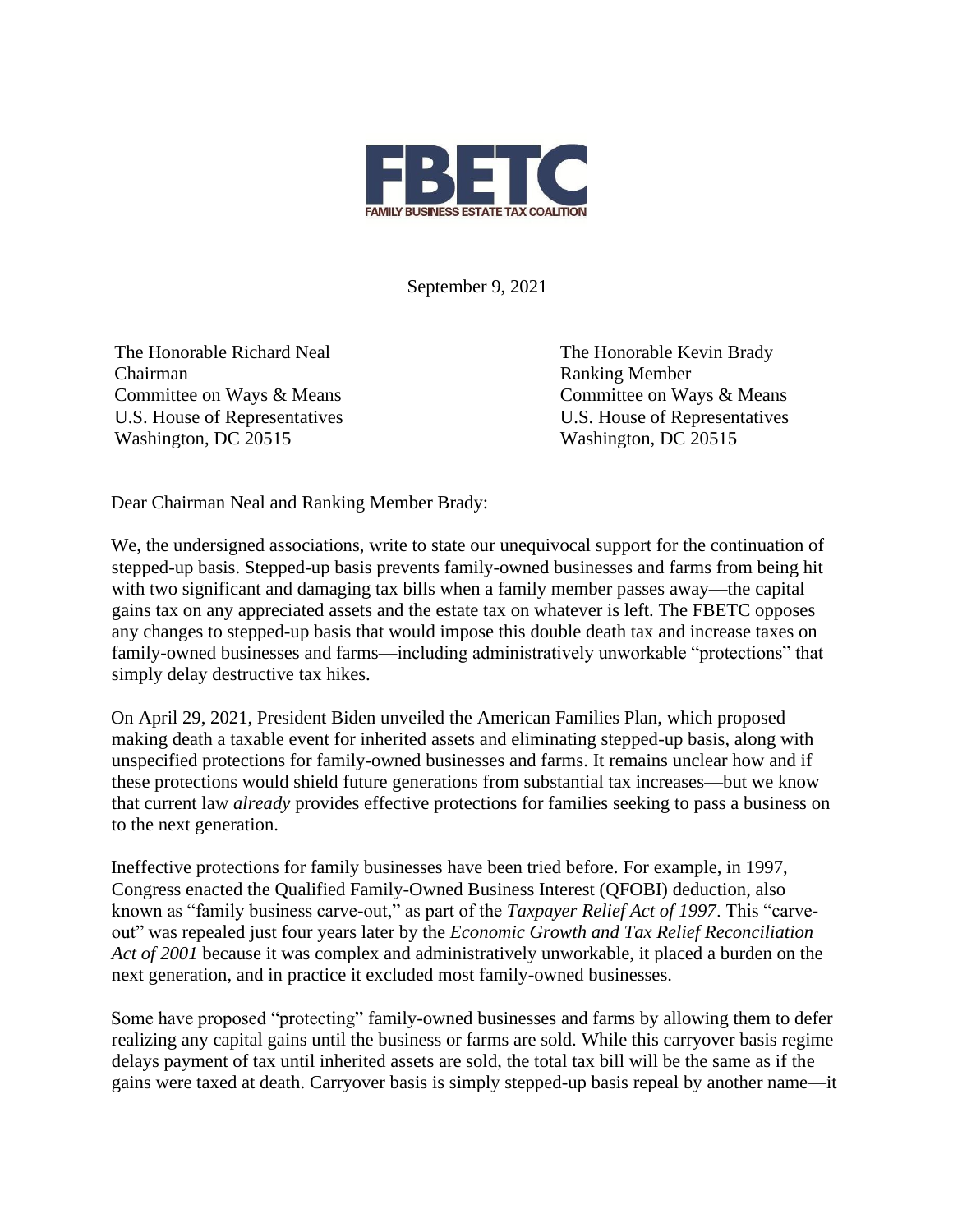

September 9, 2021

The Honorable Richard Neal The Honorable Kevin Brady Chairman Ranking Member Washington, DC 20515 Washington, DC 20515

Committee on Ways & Means Committee on Ways & Means U.S. House of Representatives U.S. House of Representatives

Dear Chairman Neal and Ranking Member Brady:

We, the undersigned associations, write to state our unequivocal support for the continuation of stepped-up basis. Stepped-up basis prevents family-owned businesses and farms from being hit with two significant and damaging tax bills when a family member passes away—the capital gains tax on any appreciated assets and the estate tax on whatever is left. The FBETC opposes any changes to stepped-up basis that would impose this double death tax and increase taxes on family-owned businesses and farms—including administratively unworkable "protections" that simply delay destructive tax hikes.

On April 29, 2021, President Biden unveiled the American Families Plan, which proposed making death a taxable event for inherited assets and eliminating stepped-up basis, along with unspecified protections for family-owned businesses and farms. It remains unclear how and if these protections would shield future generations from substantial tax increases—but we know that current law *already* provides effective protections for families seeking to pass a business on to the next generation.

Ineffective protections for family businesses have been tried before. For example, in 1997, Congress enacted the Qualified Family-Owned Business Interest (QFOBI) deduction, also known as "family business carve-out," as part of the *Taxpayer Relief Act of 1997*. This "carveout" was repealed just four years later by the *Economic Growth and Tax Relief Reconciliation Act of 2001* because it was complex and administratively unworkable, it placed a burden on the next generation, and in practice it excluded most family-owned businesses.

Some have proposed "protecting" family-owned businesses and farms by allowing them to defer realizing any capital gains until the business or farms are sold. While this carryover basis regime delays payment of tax until inherited assets are sold, the total tax bill will be the same as if the gains were taxed at death. Carryover basis is simply stepped-up basis repeal by another name—it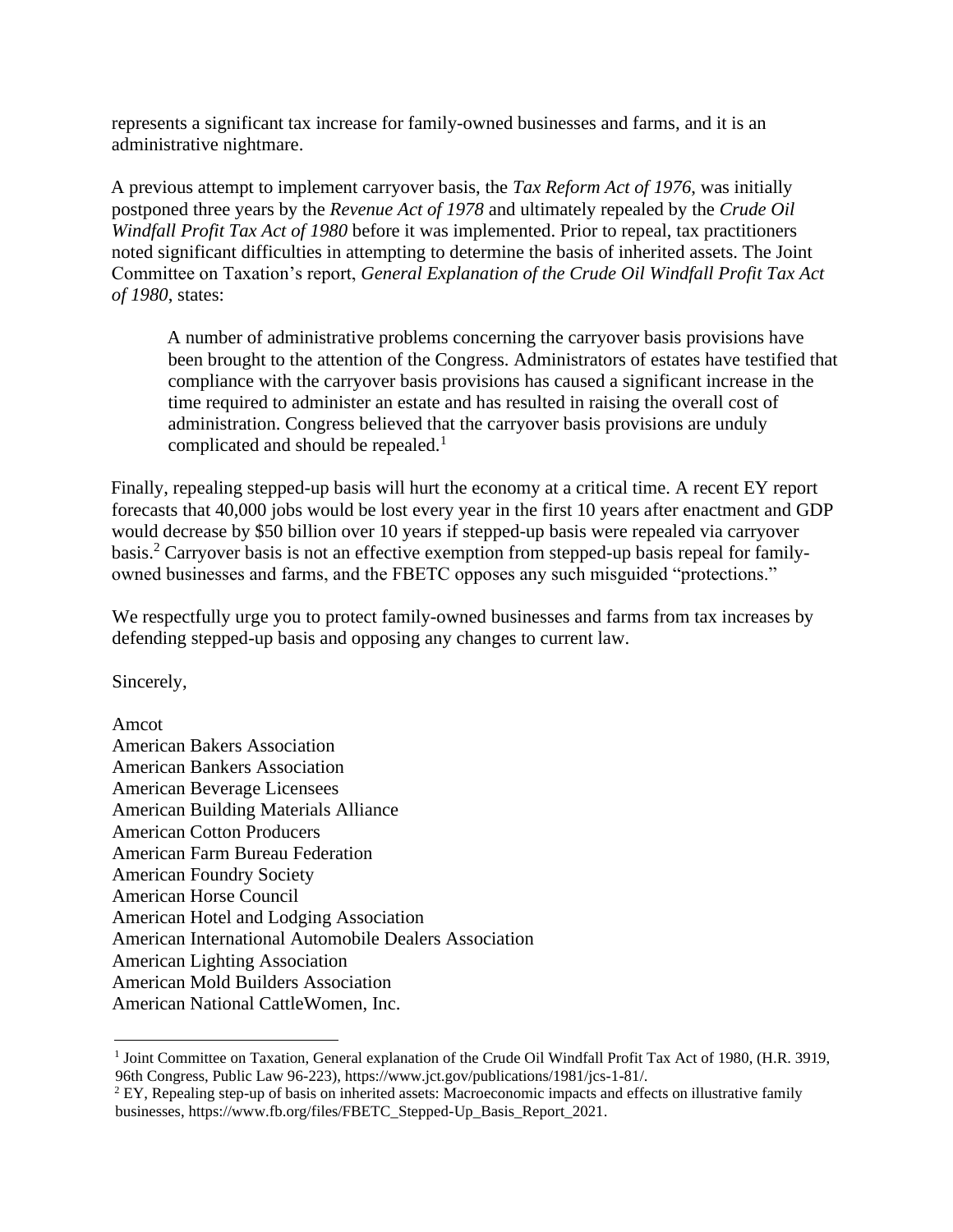represents a significant tax increase for family-owned businesses and farms, and it is an administrative nightmare.

A previous attempt to implement carryover basis, the *Tax Reform Act of 1976*, was initially postponed three years by the *Revenue Act of 1978* and ultimately repealed by the *Crude Oil Windfall Profit Tax Act of 1980* before it was implemented. Prior to repeal, tax practitioners noted significant difficulties in attempting to determine the basis of inherited assets. The Joint Committee on Taxation's report, *General Explanation of the Crude Oil Windfall Profit Tax Act of 1980*, states:

A number of administrative problems concerning the carryover basis provisions have been brought to the attention of the Congress. Administrators of estates have testified that compliance with the carryover basis provisions has caused a significant increase in the time required to administer an estate and has resulted in raising the overall cost of administration. Congress believed that the carryover basis provisions are unduly complicated and should be repealed.<sup>1</sup>

Finally, repealing stepped-up basis will hurt the economy at a critical time. A recent EY report forecasts that 40,000 jobs would be lost every year in the first 10 years after enactment and GDP would decrease by \$50 billion over 10 years if stepped-up basis were repealed via carryover basis. <sup>2</sup> Carryover basis is not an effective exemption from stepped-up basis repeal for familyowned businesses and farms, and the FBETC opposes any such misguided "protections."

We respectfully urge you to protect family-owned businesses and farms from tax increases by defending stepped-up basis and opposing any changes to current law.

Sincerely,

Amcot American Bakers Association American Bankers Association American Beverage Licensees American Building Materials Alliance American Cotton Producers American Farm Bureau Federation American Foundry Society American Horse Council American Hotel and Lodging Association American International Automobile Dealers Association American Lighting Association American Mold Builders Association American National CattleWomen, Inc.

<sup>&</sup>lt;sup>1</sup> Joint Committee on Taxation, General explanation of the Crude Oil Windfall Profit Tax Act of 1980, (H.R. 3919, 96th Congress, Public Law 96-223), https://www.jct.gov/publications/1981/jcs-1-81/.

 $2$  EY, Repealing step-up of basis on inherited assets: Macroeconomic impacts and effects on illustrative family businesses, https://www.fb.org/files/FBETC\_Stepped-Up\_Basis\_Report\_2021.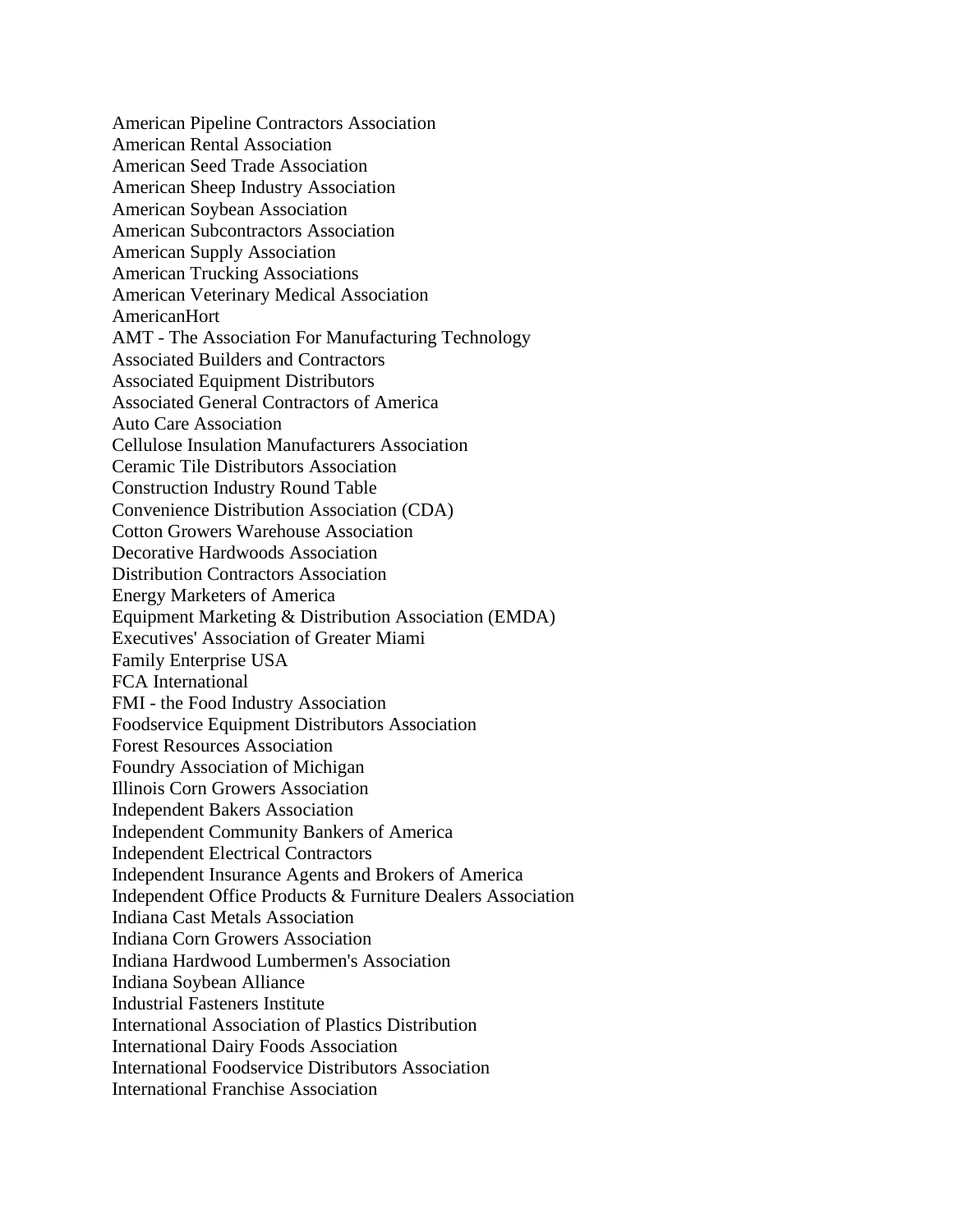American Pipeline Contractors Association American Rental Association American Seed Trade Association American Sheep Industry Association American Soybean Association American Subcontractors Association American Supply Association American Trucking Associations American Veterinary Medical Association AmericanHort AMT - The Association For Manufacturing Technology Associated Builders and Contractors Associated Equipment Distributors Associated General Contractors of America Auto Care Association Cellulose Insulation Manufacturers Association Ceramic Tile Distributors Association Construction Industry Round Table Convenience Distribution Association (CDA) Cotton Growers Warehouse Association Decorative Hardwoods Association Distribution Contractors Association Energy Marketers of America Equipment Marketing & Distribution Association (EMDA) Executives' Association of Greater Miami Family Enterprise USA FCA International FMI - the Food Industry Association Foodservice Equipment Distributors Association Forest Resources Association Foundry Association of Michigan Illinois Corn Growers Association Independent Bakers Association Independent Community Bankers of America Independent Electrical Contractors Independent Insurance Agents and Brokers of America Independent Office Products & Furniture Dealers Association Indiana Cast Metals Association Indiana Corn Growers Association Indiana Hardwood Lumbermen's Association Indiana Soybean Alliance Industrial Fasteners Institute International Association of Plastics Distribution International Dairy Foods Association International Foodservice Distributors Association International Franchise Association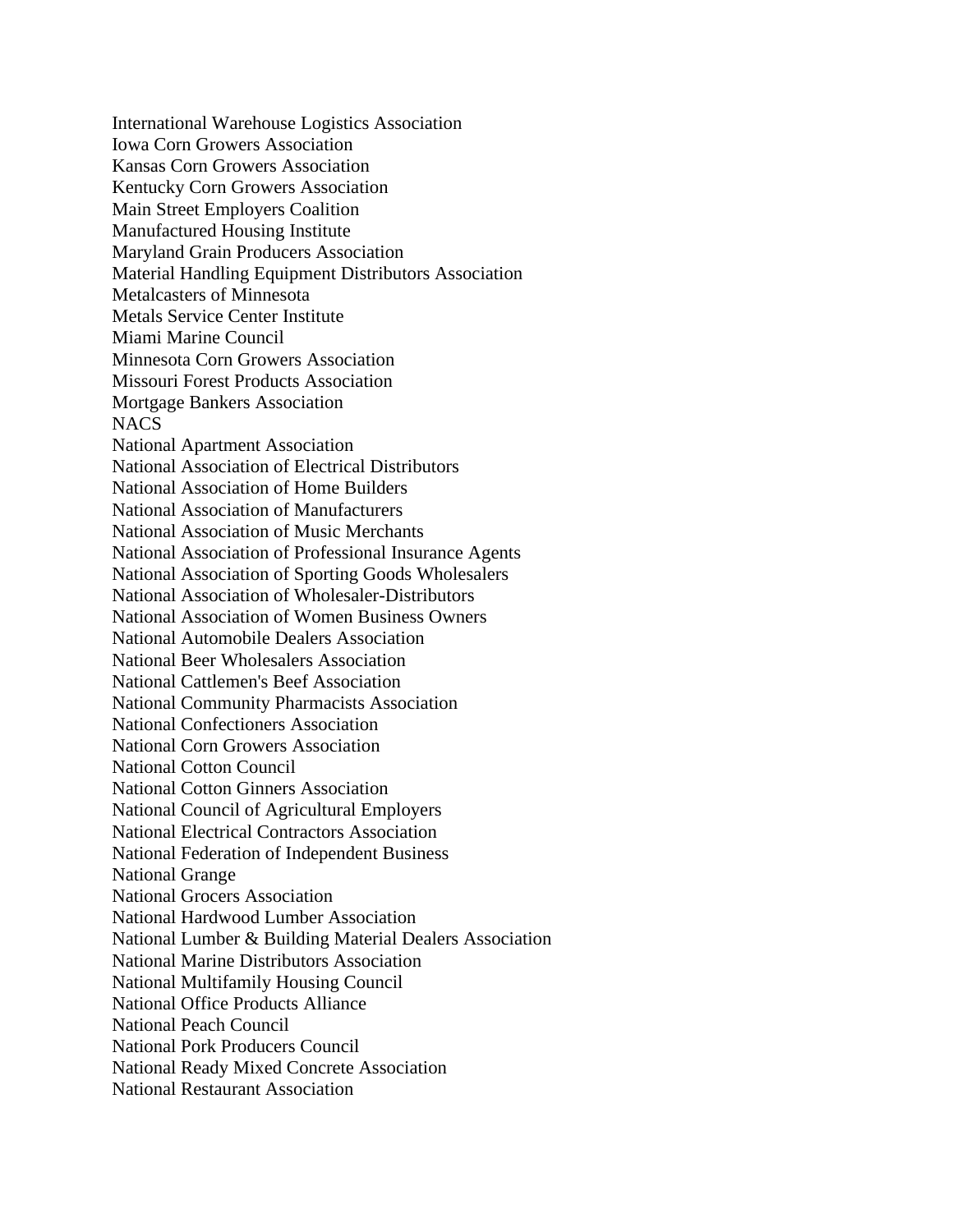International Warehouse Logistics Association Iowa Corn Growers Association Kansas Corn Growers Association Kentucky Corn Growers Association Main Street Employers Coalition Manufactured Housing Institute Maryland Grain Producers Association Material Handling Equipment Distributors Association Metalcasters of Minnesota Metals Service Center Institute Miami Marine Council Minnesota Corn Growers Association Missouri Forest Products Association Mortgage Bankers Association **NACS** National Apartment Association National Association of Electrical Distributors National Association of Home Builders National Association of Manufacturers National Association of Music Merchants National Association of Professional Insurance Agents National Association of Sporting Goods Wholesalers National Association of Wholesaler-Distributors National Association of Women Business Owners National Automobile Dealers Association National Beer Wholesalers Association National Cattlemen's Beef Association National Community Pharmacists Association National Confectioners Association National Corn Growers Association National Cotton Council National Cotton Ginners Association National Council of Agricultural Employers National Electrical Contractors Association National Federation of Independent Business National Grange National Grocers Association National Hardwood Lumber Association National Lumber & Building Material Dealers Association National Marine Distributors Association National Multifamily Housing Council National Office Products Alliance National Peach Council National Pork Producers Council National Ready Mixed Concrete Association National Restaurant Association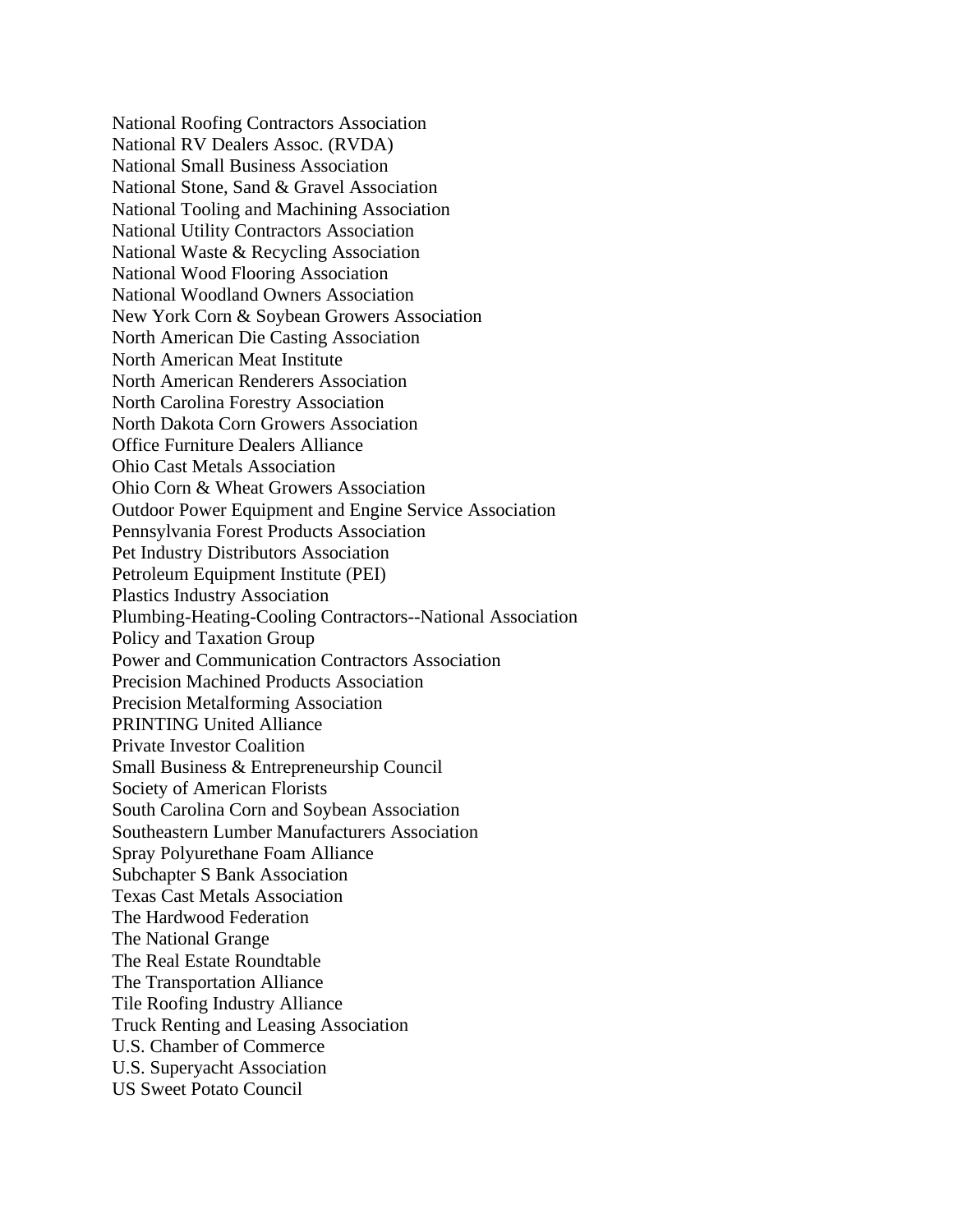National Roofing Contractors Association National RV Dealers Assoc. (RVDA) National Small Business Association National Stone, Sand & Gravel Association National Tooling and Machining Association National Utility Contractors Association National Waste & Recycling Association National Wood Flooring Association National Woodland Owners Association New York Corn & Soybean Growers Association North American Die Casting Association North American Meat Institute North American Renderers Association North Carolina Forestry Association North Dakota Corn Growers Association Office Furniture Dealers Alliance Ohio Cast Metals Association Ohio Corn & Wheat Growers Association Outdoor Power Equipment and Engine Service Association Pennsylvania Forest Products Association Pet Industry Distributors Association Petroleum Equipment Institute (PEI) Plastics Industry Association Plumbing-Heating-Cooling Contractors--National Association Policy and Taxation Group Power and Communication Contractors Association Precision Machined Products Association Precision Metalforming Association PRINTING United Alliance Private Investor Coalition Small Business & Entrepreneurship Council Society of American Florists South Carolina Corn and Soybean Association Southeastern Lumber Manufacturers Association Spray Polyurethane Foam Alliance Subchapter S Bank Association Texas Cast Metals Association The Hardwood Federation The National Grange The Real Estate Roundtable The Transportation Alliance Tile Roofing Industry Alliance Truck Renting and Leasing Association U.S. Chamber of Commerce U.S. Superyacht Association US Sweet Potato Council